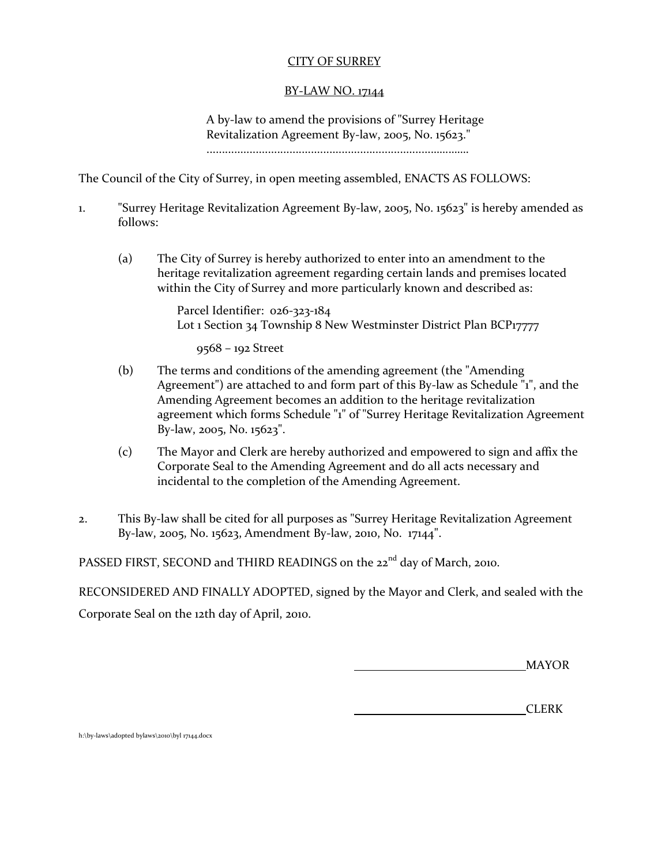## CITY OF SURREY

### BY-LAW NO. 17144

A by-law to amend the provisions of "Surrey Heritage Revitalization Agreement By-law, 2005, No. 15623." .........................................................................………….

The Council of the City of Surrey, in open meeting assembled, ENACTS AS FOLLOWS:

- 1. "Surrey Heritage Revitalization Agreement By-law, 2005, No. 15623" is hereby amended as follows:
	- (a) The City of Surrey is hereby authorized to enter into an amendment to the heritage revitalization agreement regarding certain lands and premises located within the City of Surrey and more particularly known and described as:

Parcel Identifier: 026-323-184 Lot 1 Section 34 Township 8 New Westminster District Plan BCP17777

9568 – 192 Street

- (b) The terms and conditions of the amending agreement (the "Amending Agreement") are attached to and form part of this By-law as Schedule "1", and the Amending Agreement becomes an addition to the heritage revitalization agreement which forms Schedule "1" of "Surrey Heritage Revitalization Agreement By-law, 2005, No. 15623".
- (c) The Mayor and Clerk are hereby authorized and empowered to sign and affix the Corporate Seal to the Amending Agreement and do all acts necessary and incidental to the completion of the Amending Agreement.
- 2. This By-law shall be cited for all purposes as "Surrey Heritage Revitalization Agreement By-law, 2005, No. 15623, Amendment By-law, 2010, No. 17144".

PASSED FIRST, SECOND and THIRD READINGS on the 22<sup>nd</sup> day of March, 2010.

RECONSIDERED AND FINALLY ADOPTED, signed by the Mayor and Clerk, and sealed with the Corporate Seal on the 12th day of April, 2010.

MAYOR

CLERK

h:\by-laws\adopted bylaws\2010\byl 17144.docx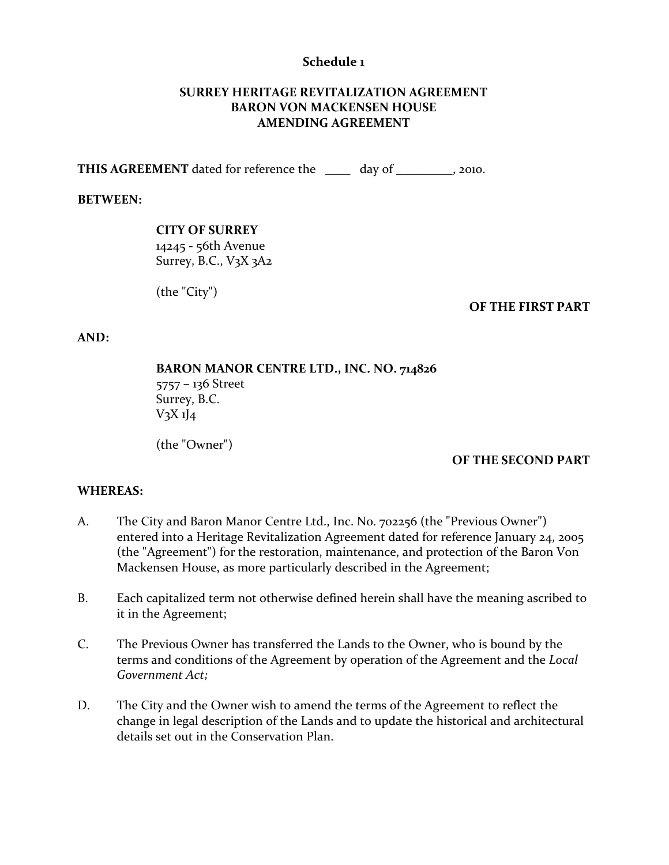### **Schedule 1**

## **SURREY HERITAGE REVITALIZATION AGREEMENT BARON VON MACKENSEN HOUSE AMENDING AGREEMENT**

**THIS AGREEMENT** dated for reference the day of the day of the setting agency of  $\alpha$ .

### **BETWEEN:**

### **CITY OF SURREY**

14245 - 56th Avenue Surrey, B.C., V3X 3A2

(the "City")

#### **OF THE FIRST PART**

#### **AND:**

**BARON MANOR CENTRE LTD., INC. NO. 714826** 5757 – 136 Street Surrey, B.C.  $V_3X_1J_4$ 

(the "Owner")

#### **OF THE SECOND PART**

#### **WHEREAS:**

- A. The City and Baron Manor Centre Ltd., Inc. No. 702256 (the "Previous Owner") entered into a Heritage Revitalization Agreement dated for reference January 24, 2005 (the "Agreement") for the restoration, maintenance, and protection of the Baron Von Mackensen House, as more particularly described in the Agreement;
- B. Each capitalized term not otherwise defined herein shall have the meaning ascribed to it in the Agreement;
- C. The Previous Owner has transferred the Lands to the Owner, who is bound by the terms and conditions of the Agreement by operation of the Agreement and the *Local Government Act;*
- D. The City and the Owner wish to amend the terms of the Agreement to reflect the change in legal description of the Lands and to update the historical and architectural details set out in the Conservation Plan.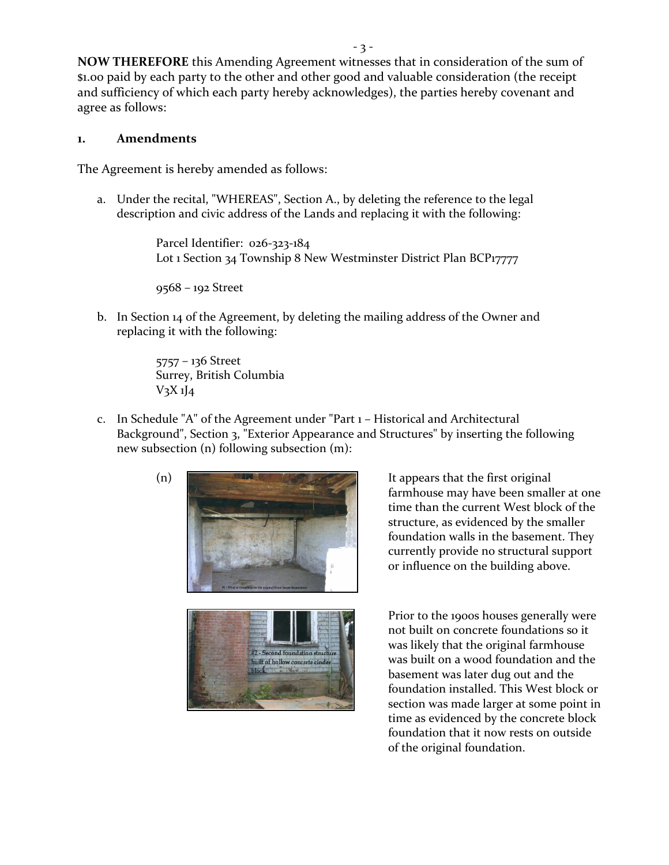**NOW THEREFORE** this Amending Agreement witnesses that in consideration of the sum of \$1.00 paid by each party to the other and other good and valuable consideration (the receipt and sufficiency of which each party hereby acknowledges), the parties hereby covenant and

### **1. Amendments**

agree as follows:

The Agreement is hereby amended as follows:

a. Under the recital, "WHEREAS", Section A., by deleting the reference to the legal description and civic address of the Lands and replacing it with the following:

> Parcel Identifier: 026-323-184 Lot 1 Section 34 Township 8 New Westminster District Plan BCP17777

9568 – 192 Street

b. In Section 14 of the Agreement, by deleting the mailing address of the Owner and replacing it with the following:

> 5757 – 136 Street Surrey, British Columbia  $V_3X_1J_4$

c. In Schedule "A" of the Agreement under "Part 1 – Historical and Architectural Background", Section 3, "Exterior Appearance and Structures" by inserting the following new subsection (n) following subsection (m):



farmhouse may have been smaller at one time than the current West block of the structure, as evidenced by the smaller foundation walls in the basement. They currently provide no structural support or influence on the building above.

Prior to the 1900s houses generally were not built on concrete foundations so it was likely that the original farmhouse was built on a wood foundation and the basement was later dug out and the foundation installed. This West block or section was made larger at some point in time as evidenced by the concrete block foundation that it now rests on outside of the original foundation.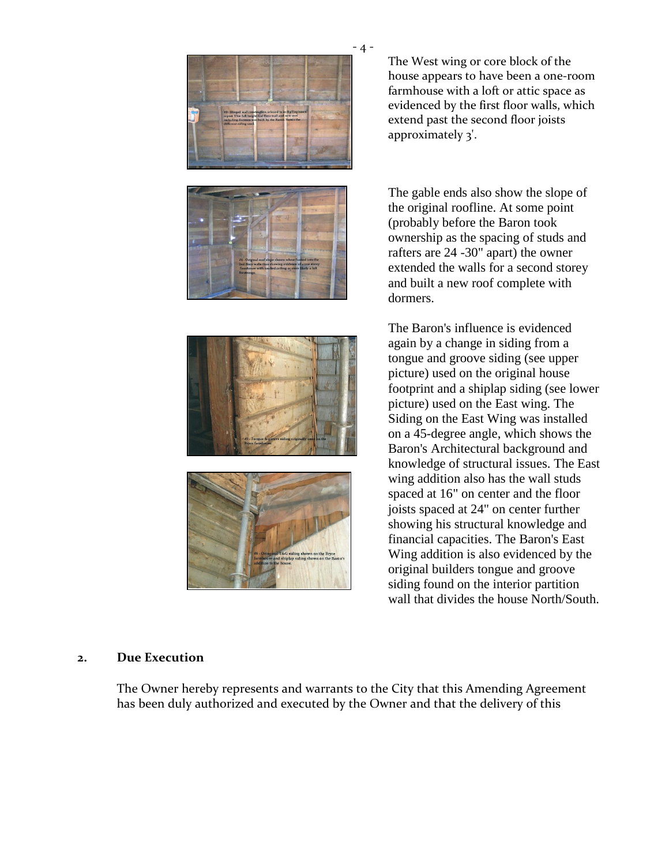

The West wing or core block of the house appears to have been a one-room farmhouse with a loft or attic space as evidenced by the first floor walls, which extend past the second floor joists approximately 3'.

The gable ends also show the slope of the original roofline. At some point (probably before the Baron took ownership as the spacing of studs and rafters are 24 -30" apart) the owner extended the walls for a second storey and built a new roof complete with dormers.

The Baron's influence is evidenced again by a change in siding from a tongue and groove siding (see upper picture) used on the original house footprint and a shiplap siding (see lower picture) used on the East wing. The Siding on the East Wing was installed on a 45-degree angle, which shows the Baron's Architectural background and knowledge of structural issues. The East wing addition also has the wall studs spaced at 16" on center and the floor joists spaced at 24" on center further showing his structural knowledge and financial capacities. The Baron's East Wing addition is also evidenced by the original builders tongue and groove siding found on the interior partition wall that divides the house North/South.

## **2. Due Execution**

The Owner hereby represents and warrants to the City that this Amending Agreement has been duly authorized and executed by the Owner and that the delivery of this